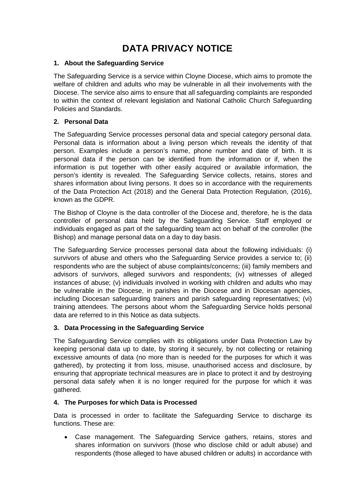# **DATA PRIVACY NOTICE**

# **1. About the Safeguarding Service**

The Safeguarding Service is a service within Cloyne Diocese, which aims to promote the welfare of children and adults who may be vulnerable in all their involvements with the Diocese. The service also aims to ensure that all safeguarding complaints are responded to within the context of relevant legislation and National Catholic Church Safeguarding Policies and Standards.

## **2. Personal Data**

The Safeguarding Service processes personal data and special category personal data. Personal data is information about a living person which reveals the identity of that person. Examples include a person's name, phone number and date of birth. It is personal data if the person can be identified from the information or if, when the information is put together with other easily acquired or available information, the person's identity is revealed. The Safeguarding Service collects, retains, stores and shares information about living persons. It does so in accordance with the requirements of the Data Protection Act (2018) and the General Data Protection Regulation, (2016), known as the GDPR.

The Bishop of Cloyne is the data controller of the Diocese and, therefore, he is the data controller of personal data held by the Safeguarding Service. Staff employed or individuals engaged as part of the safeguarding team act on behalf of the controller (the Bishop) and manage personal data on a day to day basis.

The Safeguarding Service processes personal data about the following individuals: (i) survivors of abuse and others who the Safeguarding Service provides a service to; (ii) respondents who are the subject of abuse complaints/concerns; (iii) family members and advisors of survivors, alleged survivors and respondents; (iv) witnesses of alleged instances of abuse; (v) individuals involved in working with children and adults who may be vulnerable in the Diocese, in parishes in the Diocese and in Diocesan agencies, including Diocesan safeguarding trainers and parish safeguarding representatives; (vi) training attendees. The persons about whom the Safeguarding Service holds personal data are referred to in this Notice as data subjects.

# **3. Data Processing in the Safeguarding Service**

The Safeguarding Service complies with its obligations under Data Protection Law by keeping personal data up to date, by storing it securely, by not collecting or retaining excessive amounts of data (no more than is needed for the purposes for which it was gathered), by protecting it from loss, misuse, unauthorised access and disclosure, by ensuring that appropriate technical measures are in place to protect it and by destroying personal data safely when it is no longer required for the purpose for which it was gathered.

#### **4. The Purposes for which Data is Processed**

Data is processed in order to facilitate the Safeguarding Service to discharge its functions. These are:

• Case management. The Safeguarding Service gathers, retains, stores and shares information on survivors (those who disclose child or adult abuse) and respondents (those alleged to have abused children or adults) in accordance with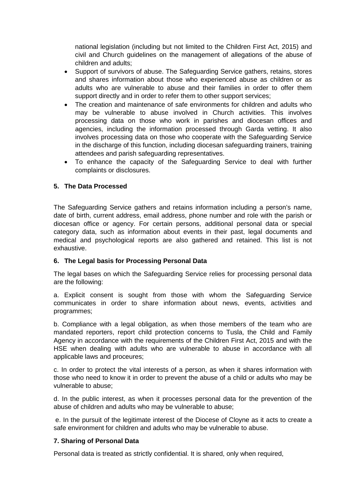national legislation (including but not limited to the Children First Act, 2015) and civil and Church guidelines on the management of allegations of the abuse of children and adults;

- Support of survivors of abuse. The Safeguarding Service gathers, retains, stores and shares information about those who experienced abuse as children or as adults who are vulnerable to abuse and their families in order to offer them support directly and in order to refer them to other support services;
- The creation and maintenance of safe environments for children and adults who may be vulnerable to abuse involved in Church activities. This involves processing data on those who work in parishes and diocesan offices and agencies, including the information processed through Garda vetting. It also involves processing data on those who cooperate with the Safeguarding Service in the discharge of this function, including diocesan safeguarding trainers, training attendees and parish safeguarding representatives.
- To enhance the capacity of the Safeguarding Service to deal with further complaints or disclosures.

# **5. The Data Processed**

The Safeguarding Service gathers and retains information including a person's name, date of birth, current address, email address, phone number and role with the parish or diocesan office or agency. For certain persons, additional personal data or special category data, such as information about events in their past, legal documents and medical and psychological reports are also gathered and retained. This list is not exhaustive.

# **6. The Legal basis for Processing Personal Data**

The legal bases on which the Safeguarding Service relies for processing personal data are the following:

a. Explicit consent is sought from those with whom the Safeguarding Service communicates in order to share information about news, events, activities and programmes;

b. Compliance with a legal obligation, as when those members of the team who are mandated reporters, report child protection concerns to Tusla, the Child and Family Agency in accordance with the requirements of the Children First Act, 2015 and with the HSE when dealing with adults who are vulnerable to abuse in accordance with all applicable laws and proceures;

c. In order to protect the vital interests of a person, as when it shares information with those who need to know it in order to prevent the abuse of a child or adults who may be vulnerable to abuse;

d. In the public interest, as when it processes personal data for the prevention of the abuse of children and adults who may be vulnerable to abuse;

e. In the pursuit of the legitimate interest of the Diocese of Cloyne as it acts to create a safe environment for children and adults who may be vulnerable to abuse.

#### **7. Sharing of Personal Data**

Personal data is treated as strictly confidential. It is shared, only when required,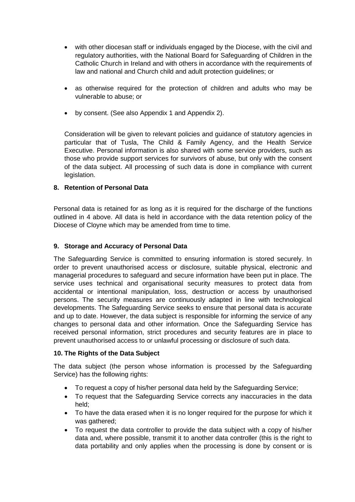- with other diocesan staff or individuals engaged by the Diocese, with the civil and regulatory authorities, with the National Board for Safeguarding of Children in the Catholic Church in Ireland and with others in accordance with the requirements of law and national and Church child and adult protection guidelines; or
- as otherwise required for the protection of children and adults who may be vulnerable to abuse; or
- by consent. (See also Appendix 1 and Appendix 2).

Consideration will be given to relevant policies and guidance of statutory agencies in particular that of Tusla, The Child & Family Agency, and the Health Service Executive. Personal information is also shared with some service providers, such as those who provide support services for survivors of abuse, but only with the consent of the data subject. All processing of such data is done in compliance with current legislation.

# **8. Retention of Personal Data**

Personal data is retained for as long as it is required for the discharge of the functions outlined in 4 above. All data is held in accordance with the data retention policy of the Diocese of Cloyne which may be amended from time to time.

#### **9. Storage and Accuracy of Personal Data**

The Safeguarding Service is committed to ensuring information is stored securely. In order to prevent unauthorised access or disclosure, suitable physical, electronic and managerial procedures to safeguard and secure information have been put in place. The service uses technical and organisational security measures to protect data from accidental or intentional manipulation, loss, destruction or access by unauthorised persons. The security measures are continuously adapted in line with technological developments. The Safeguarding Service seeks to ensure that personal data is accurate and up to date. However, the data subject is responsible for informing the service of any changes to personal data and other information. Once the Safeguarding Service has received personal information, strict procedures and security features are in place to prevent unauthorised access to or unlawful processing or disclosure of such data.

#### **10. The Rights of the Data Subject**

The data subject (the person whose information is processed by the Safeguarding Service) has the following rights:

- To request a copy of his/her personal data held by the Safeguarding Service;
- To request that the Safeguarding Service corrects any inaccuracies in the data held;
- To have the data erased when it is no longer required for the purpose for which it was gathered:
- To request the data controller to provide the data subject with a copy of his/her data and, where possible, transmit it to another data controller (this is the right to data portability and only applies when the processing is done by consent or is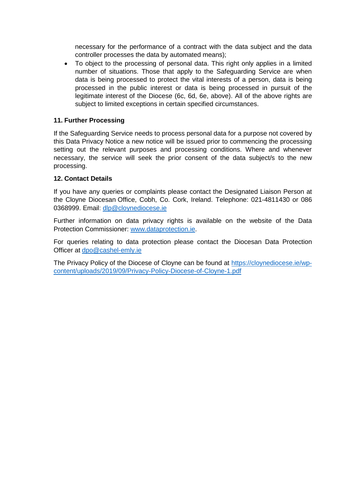necessary for the performance of a contract with the data subject and the data controller processes the data by automated means);

• To object to the processing of personal data. This right only applies in a limited number of situations. Those that apply to the Safeguarding Service are when data is being processed to protect the vital interests of a person, data is being processed in the public interest or data is being processed in pursuit of the legitimate interest of the Diocese (6c, 6d, 6e, above). All of the above rights are subject to limited exceptions in certain specified circumstances.

## **11. Further Processing**

If the Safeguarding Service needs to process personal data for a purpose not covered by this Data Privacy Notice a new notice will be issued prior to commencing the processing setting out the relevant purposes and processing conditions. Where and whenever necessary, the service will seek the prior consent of the data subject/s to the new processing.

#### **12. Contact Details**

If you have any queries or complaints please contact the Designated Liaison Person at the Cloyne Diocesan Office, Cobh, Co. Cork, Ireland. Telephone: 021-4811430 or 086 0368999. Email: [dlp@cloynediocese.ie](mailto:dlp@cloynediocese.ie)

Further information on data privacy rights is available on the website of the Data Protection Commissioner: [www.dataprotection.ie.](http://www.dataprotection.ie/)

For queries relating to data protection please contact the Diocesan Data Protection Officer at [dpo@cashel-emly.ie](mailto:dpo@cashel-emly.ie)

The Privacy Policy of the Diocese of Cloyne can be found at [https://cloynediocese.ie/wp](https://cloynediocese.ie/wp-content/uploads/2019/09/Privacy-Policy-Diocese-of-Cloyne-1.pdf)[content/uploads/2019/09/Privacy-Policy-Diocese-of-Cloyne-1.pdf](https://cloynediocese.ie/wp-content/uploads/2019/09/Privacy-Policy-Diocese-of-Cloyne-1.pdf)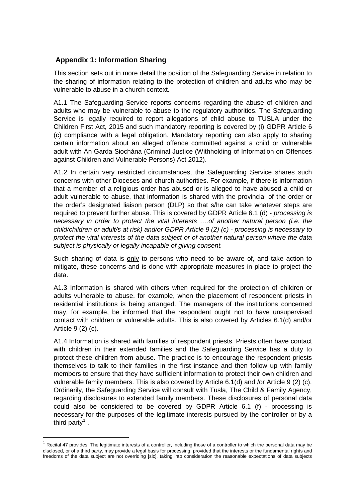# **Appendix 1: Information Sharing**

This section sets out in more detail the position of the Safeguarding Service in relation to the sharing of information relating to the protection of children and adults who may be vulnerable to abuse in a church context.

A1.1 The Safeguarding Service reports concerns regarding the abuse of children and adults who may be vulnerable to abuse to the regulatory authorities. The Safeguarding Service is legally required to report allegations of child abuse to TUSLA under the Children First Act, 2015 and such mandatory reporting is covered by (i) GDPR Article 6 (c) compliance with a legal obligation. Mandatory reporting can also apply to sharing certain information about an alleged offence committed against a child or vulnerable adult with An Garda Siochána (Criminal Justice (Withholding of Information on Offences against Children and Vulnerable Persons) Act 2012).

A1.2 In certain very restricted circumstances, the Safeguarding Service shares such concerns with other Dioceses and church authorities. For example, if there is information that a member of a religious order has abused or is alleged to have abused a child or adult vulnerable to abuse, that information is shared with the provincial of the order or the order's designated liaison person (DLP) so that s/he can take whatever steps are required to prevent further abuse. This is covered by GDPR Article 6.1 (d) - *processing is necessary in order to protect the vital interests ….of another natural person (i.e. the child/children or adult/s at risk) and/or GDPR Article 9 (2) (c) - processing is necessary to protect the vital interests of the data subject or of another natural person where the data subject is physically or legally incapable of giving consent.*

Such sharing of data is only to persons who need to be aware of, and take action to mitigate, these concerns and is done with appropriate measures in place to project the data.

A1.3 Information is shared with others when required for the protection of children or adults vulnerable to abuse, for example, when the placement of respondent priests in residential institutions is being arranged. The managers of the institutions concerned may, for example, be informed that the respondent ought not to have unsupervised contact with children or vulnerable adults. This is also covered by Articles 6.1(d) and/or Article 9 (2) (c).

A1.4 Information is shared with families of respondent priests. Priests often have contact with children in their extended families and the Safeguarding Service has a duty to protect these children from abuse. The practice is to encourage the respondent priests themselves to talk to their families in the first instance and then follow up with family members to ensure that they have sufficient information to protect their own children and vulnerable family members. This is also covered by Article 6.1(d) and /or Article 9 (2) (c). Ordinarily, the Safeguarding Service will consult with Tusla, The Child & Family Agency, regarding disclosures to extended family members. These disclosures of personal data could also be considered to be covered by GDPR Article 6.1 (f) - processing is necessary for the purposes of the legitimate interests pursued by the controller or by a third party<sup>[1](#page-4-0)</sup>.

<span id="page-4-0"></span>Recital 47 provides: The legitimate interests of a controller, including those of a controller to which the personal data may be disclosed, or of a third party, may provide a legal basis for processing, provided that the interests or the fundamental rights and freedoms of the data subject are not overriding [sic], taking into consideration the reasonable expectations of data subjects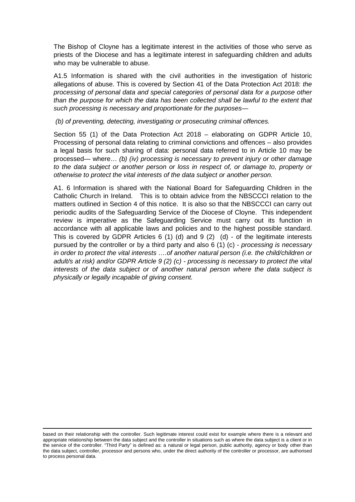The Bishop of Cloyne has a legitimate interest in the activities of those who serve as priests of the Diocese and has a legitimate interest in safeguarding children and adults who may be vulnerable to abuse.

A1.5 Information is shared with the civil authorities in the investigation of historic allegations of abuse. This is covered by Section 41 of the Data Protection Act 2018: *the processing of personal data and special categories of personal data for a purpose other than the purpose for which the data has been collected shall be lawful to the extent that such processing is necessary and proportionate for the purposes—*

*(b) of preventing, detecting, investigating or prosecuting criminal offences.* 

Section 55 (1) of the Data Protection Act 2018 – elaborating on GDPR Article 10, Processing of personal data relating to criminal convictions and offences – also provides a legal basis for such sharing of data: personal data referred to in Article 10 may be processed— where… *(b) (iv) processing is necessary to prevent injury or other damage to the data subject or another person or loss in respect of, or damage to, property or otherwise to protect the vital interests of the data subject or another person.*

A1. 6 Information is shared with the National Board for Safeguarding Children in the Catholic Church in Ireland. This is to obtain advice from the NBSCCCI relation to the matters outlined in Section 4 of this notice. It is also so that the NBSCCCI can carry out periodic audits of the Safeguarding Service of the Diocese of Cloyne. This independent review is imperative as the Safeguarding Service must carry out its function in accordance with all applicable laws and policies and to the highest possible standard. This is covered by GDPR Articles 6 (1) (d) and 9 (2) (d) - of the legitimate interests pursued by the controller or by a third party and also 6 (1) (c) - *processing is necessary in order to protect the vital interests ….of another natural person (i.e. the child/children or adult/s at risk) and/or GDPR Article 9 (2) (c) - processing is necessary to protect the vital interests of the data subject or of another natural person where the data subject is physically or legally incapable of giving consent.*

<u>.</u>

based on their relationship with the controller. Such legitimate interest could exist for example where there is a relevant and appropriate relationship between the data subject and the controller in situations such as where the data subject is a client or in the service of the controller. "Third Party" is defined as: a natural or legal person, public authority, agency or body other than the data subject, controller, processor and persons who, under the direct authority of the controller or processor, are authorised to process personal data.